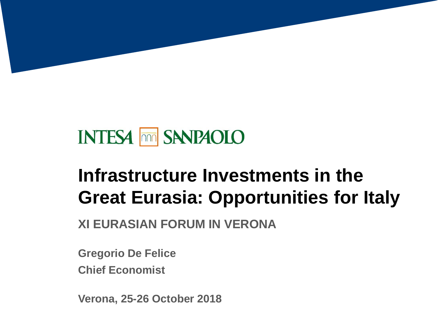# **INTESA THE SANPAOLO**

# **Infrastructure Investments in the Great Eurasia: Opportunities for Italy**

**XI EURASIAN FORUM IN VERONA**

**Gregorio De Felice**

**Chief Economist**

**Verona, 25-26 October 2018**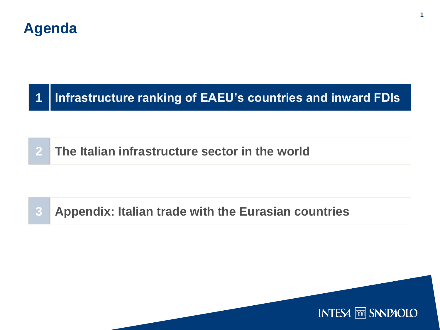### **Agenda**

#### **Infrastructure ranking of EAEU's countries and inward FDIs**

**The Italian infrastructure sector in the world** 

### **Appendix: Italian trade with the Eurasian countries**

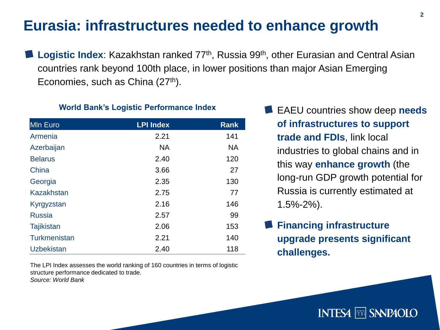## **Eurasia: infrastructures needed to enhance growth**

**Logistic Index:** Kazakhstan ranked 77<sup>th</sup>, Russia 99<sup>th</sup>, other Eurasian and Central Asian countries rank beyond 100th place, in lower positions than major Asian Emerging Economies, such as China (27<sup>th</sup>).

#### **World Bank's Logistic Performance Index**

| <b>MIn Euro</b>   | <b>LPI Index</b> | <b>Rank</b> |
|-------------------|------------------|-------------|
| Armenia           | 2.21             | 141         |
| Azerbaijan        | <b>NA</b>        | <b>NA</b>   |
| <b>Belarus</b>    | 2.40             | 120         |
| China             | 3.66             | 27          |
| Georgia           | 2.35             | 130         |
| <b>Kazakhstan</b> | 2.75             | 77          |
| Kyrgyzstan        | 2.16             | 146         |
| <b>Russia</b>     | 2.57             | 99          |
| <b>Tajikistan</b> | 2.06             | 153         |
| Turkmenistan      | 2.21             | 140         |
| <b>Uzbekistan</b> | 2.40             | 118         |

The LPI Index assesses the world ranking of 160 countries in terms of logistic structure performance dedicated to trade. *Source: World Bank*

**EAEU** countries show deep **needs of infrastructures to support trade and FDIs**, link local industries to global chains and in this way **enhance growth** (the long-run GDP growth potential for Russia is currently estimated at 1.5%-2%).

### **Financing infrastructure upgrade presents significant challenges.**

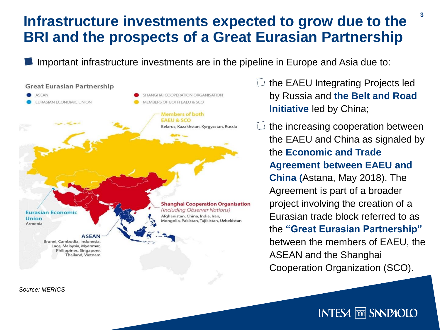### **Infrastructure investments expected to grow due to the BRI and the prospects of a Great Eurasian Partnership**

Important infrastructure investments are in the pipeline in Europe and Asia due to:



 $\Box$  the EAEU Integrating Projects led by Russia and **the Belt and Road Initiative** led by China;

the increasing cooperation between the EAEU and China as signaled by the **Economic and Trade Agreement between EAEU and China (**Astana, May 2018). The Agreement is part of a broader project involving the creation of a Eurasian trade block referred to as the **"Great Eurasian Partnership"**  between the members of EAEU, the ASEAN and the Shanghai Cooperation Organization (SCO).

*Source: MERICS*

### **INTESA <b>MM** SANPAOLO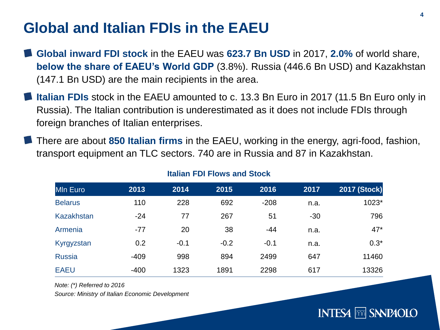## **Global and Italian FDIs in the EAEU**

- **Global inward FDI stock** in the EAEU was **623.7 Bn USD** in 2017, **2.0%** of world share, **below the share of EAEU's World GDP** (3.8%). Russia (446.6 Bn USD) and Kazakhstan (147.1 Bn USD) are the main recipients in the area.
- **Italian FDIs** stock in the EAEU amounted to c. 13.3 Bn Euro in 2017 (11.5 Bn Euro only in Russia). The Italian contribution is underestimated as it does not include FDIs through foreign branches of Italian enterprises.
- There are about **850 Italian firms** in the EAEU, working in the energy, agri-food, fashion, transport equipment an TLC sectors. 740 are in Russia and 87 in Kazakhstan.

| <b>MIn Euro</b>   | 2013   | 2014   | 2015   | 2016   | 2017  | <b>2017 (Stock)</b> |
|-------------------|--------|--------|--------|--------|-------|---------------------|
| <b>Belarus</b>    | 110    | 228    | 692    | $-208$ | n.a.  | 1023*               |
| <b>Kazakhstan</b> | $-24$  | 77     | 267    | 51     | $-30$ | 796                 |
| Armenia           | $-77$  | 20     | 38     | $-44$  | n.a.  | $47*$               |
| Kyrgyzstan        | 0.2    | $-0.1$ | $-0.2$ | $-0.1$ | n.a.  | $0.3*$              |
| <b>Russia</b>     | $-409$ | 998    | 894    | 2499   | 647   | 11460               |
| <b>EAEU</b>       | $-400$ | 1323   | 1891   | 2298   | 617   | 13326               |

#### **Italian FDI Flows and Stock**

*Note: (\*) Referred to 2016*

*Source: Ministry of Italian Economic Development*

### **INTESA <b>FRAID SANPAOLO**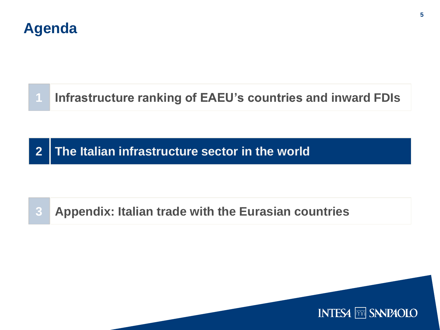### **Agenda**

# **Infrastructure ranking of EAEU's countries and inward FDIs**

**2 The Italian infrastructure sector in the world** 

### **3 Appendix: Italian trade with the Eurasian countries**

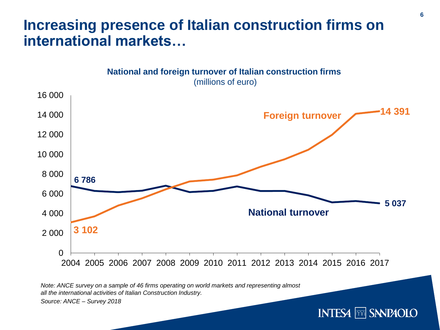### **Increasing presence of Italian construction firms on international markets…**



*Note: ANCE survey on a sample of 46 firms operating on world markets and representing almost all the international activities of Italian Construction Industry.* 

*Source: ANCE – Survey 2018*

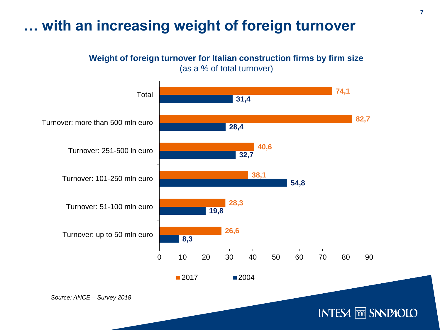## **… with an increasing weight of foreign turnover**

#### **Weight of foreign turnover for Italian construction firms by firm size** (as a % of total turnover)

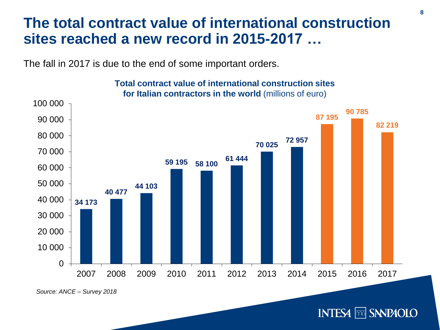### **The total contract value of international construction sites reached a new record in 2015-2017 …**

The fall in 2017 is due to the end of some important orders.



#### **Total contract value of international construction sites for Italian contractors in the world** (millions of euro)

*Source: ANCE – Survey 2018*

**INTESA FOR SANPAOLO**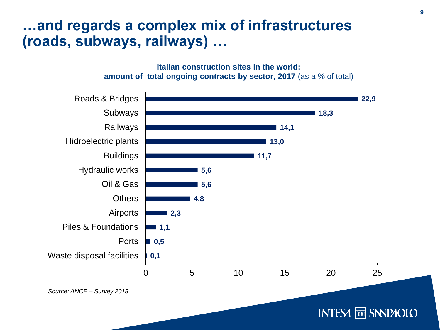### **…and regards a complex mix of infrastructures (roads, subways, railways) …**

**Italian construction sites in the world: amount of total ongoing contracts by sector, 2017** (as a % of total)



**INTESA FOR SANPAOLO**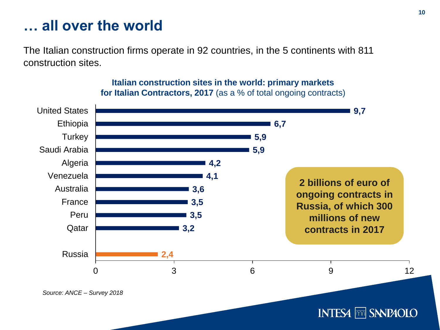### **… all over the world**

The Italian construction firms operate in 92 countries, in the 5 continents with 811 construction sites.



**Italian construction sites in the world: primary markets for Italian Contractors, 2017** (as a % of total ongoing contracts)

**INTESA <b>mm** SANPAOLO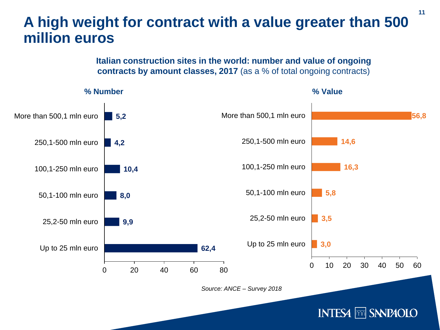### **A high weight for contract with a value greater than 500 million euros**

#### **Italian construction sites in the world: number and value of ongoing contracts by amount classes, 2017** (as a % of total ongoing contracts)



**11**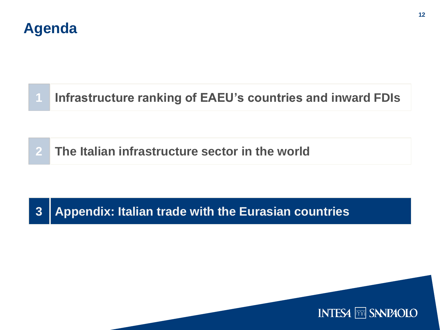### **Agenda**

# **Infrastructure ranking of EAEU's countries and inward FDIs**

**2 The Italian infrastructure sector in the world** 

### **3 Appendix: Italian trade with the Eurasian countries**

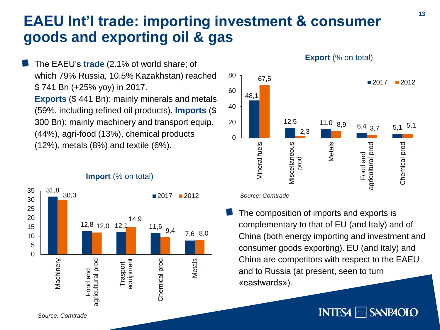# **EAEU Int'l trade: importing investment & consumer goods and exporting oil & gas**

The EAEU's **trade** (2.1% of world share; of which 79% Russia, 10.5% Kazakhstan) reached \$ 741 Bn (+25% yoy) in 2017. **Exports** (\$ 441 Bn): mainly minerals and metals (59%, including refined oil products). **Imports** (\$ 300 Bn): mainly machinery and transport equip. (44%), agri-food (13%), chemical products (12%), metals (8%) and textile (6%).



#### **Import** (% on total)

#### 80 67,5  $2017$  2012 60 48,1 40 20  $\frac{12,5}{2}$  11,0 8,9 6,4 37 5,1 5,1  $6,4$  3.7 2,3  $\Omega$ Metals Mineral fuels Viscellaneous Food and<br>agricultural prod Chemical prod Miscellaneous agricultural prod prod

**Export (% on total)** 

*Source: Comtrade*

The composition of imports and exports is complementary to that of EU (and Italy) and of China (both energy importing and investment and consumer goods exporting). EU (and Italy) and China are competitors with respect to the EAEU and to Russia (at present, seen to turn «eastwards»).

### **INTESA MM SANPAOLO**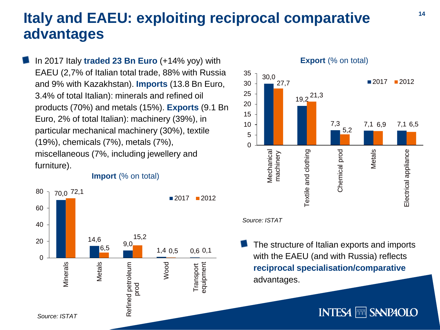## **Italy and EAEU: exploiting reciprocal comparative advantages**

In 2017 Italy **traded 23 Bn Euro** (+14% yoy) with EAEU (2,7% of Italian total trade, 88% with Russia and 9% with Kazakhstan). **Imports** (13.8 Bn Euro, 3.4% of total Italian): minerals and refined oil products (70%) and metals (15%). **Exports** (9.1 Bn Euro, 2% of total Italian): machinery (39%), in particular mechanical machinery (30%), textile (19%), chemicals (7%), metals (7%), miscellaneous (7%, including jewellery and furniture).





*Source: ISTAT*

The structure of Italian exports and imports with the EAEU (and with Russia) reflects **reciprocal specialisation/comparative**  advantages.

**INTESA MM SANPAOLO**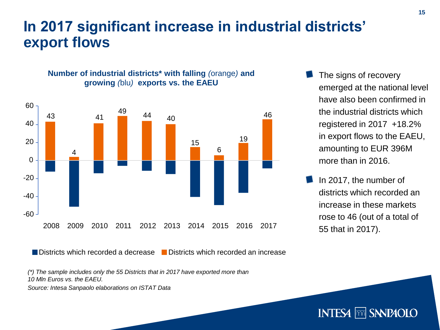### **In 2017 significant increase in industrial districts' export flows**



**Number of industrial districts\* with falling** *(*orange*)* **and growing** *(*blu*)* **exports vs. the EAEU**

The signs of recovery emerged at the national level have also been confirmed in the industrial districts which registered in 2017 +18.2% in export flows to the EAEU, amounting to EUR 396M more than in 2016.

In 2017, the number of districts which recorded an increase in these markets rose to 46 (out of a total of 55 that in 2017).

**INTESA FOR SANPAOLO** 

Districts which recorded a decrease Districts which recorded an increase

*(\*) The sample includes only the 55 Districts that in 2017 have exported more than 10 Mln Euros vs. the EAEU.*

*Source: Intesa Sanpaolo elaborations on ISTAT Data*